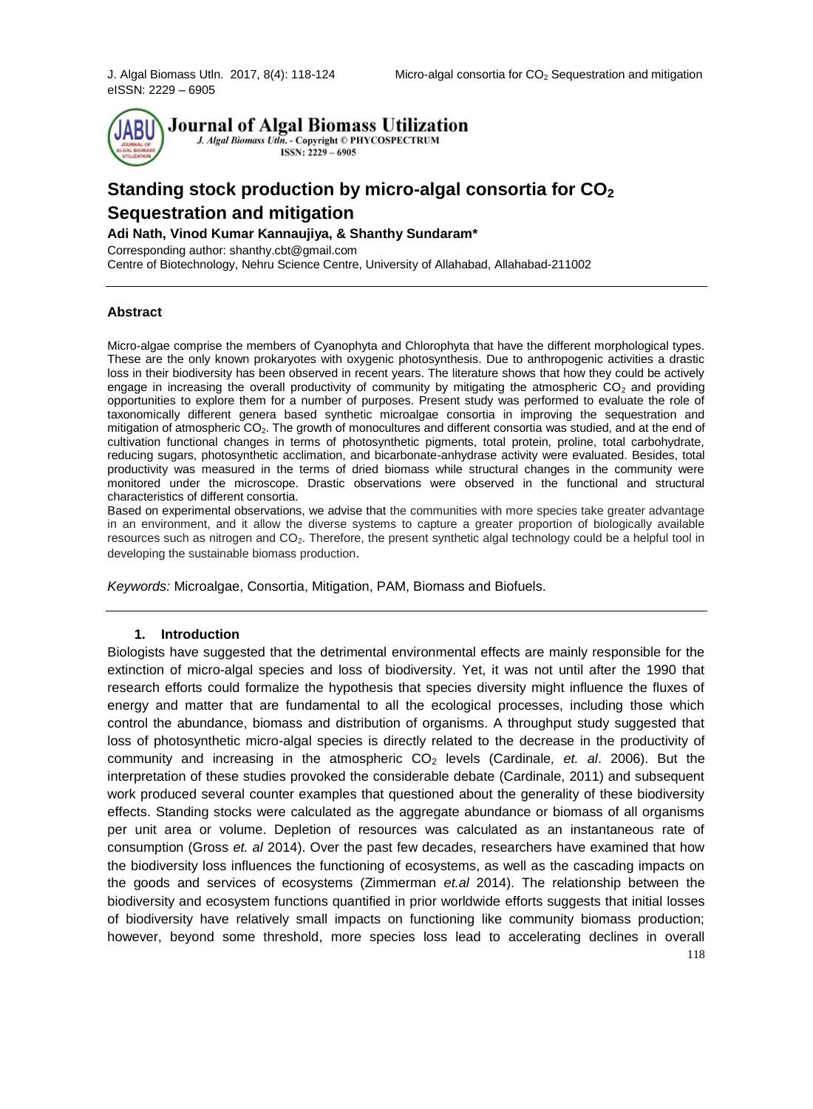eISSN: 2229 – 6905



# **Standing stock production by micro-algal consortia for CO<sup>2</sup> Sequestration and mitigation**

### **Adi Nath, Vinod Kumar Kannaujiya, & Shanthy Sundaram\***

Corresponding author: shanthy.cbt@gmail.com Centre of Biotechnology, Nehru Science Centre, University of Allahabad, Allahabad-211002

#### **Abstract**

Micro-algae comprise the members of Cyanophyta and Chlorophyta that have the different morphological types. These are the only known prokaryotes with oxygenic photosynthesis. Due to anthropogenic activities a drastic loss in their biodiversity has been observed in recent years. The literature shows that how they could be actively engage in increasing the overall productivity of community by mitigating the atmospheric  $CO<sub>2</sub>$  and providing opportunities to explore them for a number of purposes. Present study was performed to evaluate the role of taxonomically different genera based synthetic microalgae consortia in improving the sequestration and mitigation of atmospheric CO2. The growth of monocultures and different consortia was studied, and at the end of cultivation functional changes in terms of photosynthetic pigments, total protein, proline, total carbohydrate, reducing sugars, photosynthetic acclimation, and bicarbonate-anhydrase activity were evaluated. Besides, total productivity was measured in the terms of dried biomass while structural changes in the community were monitored under the microscope. Drastic observations were observed in the functional and structural characteristics of different consortia.

Based on experimental observations, we advise that the communities with more species take greater advantage in an environment, and it allow the diverse systems to capture a greater proportion of biologically available resources such as nitrogen and CO<sub>2</sub>. Therefore, the present synthetic algal technology could be a helpful tool in developing the sustainable biomass production.

*Keywords:* Microalgae, Consortia, Mitigation, PAM, Biomass and Biofuels.

#### **1. Introduction**

Biologists have suggested that the detrimental environmental effects are mainly responsible for the extinction of micro-algal species and loss of biodiversity. Yet, it was not until after the 1990 that research efforts could formalize the hypothesis that species diversity might influence the fluxes of energy and matter that are fundamental to all the ecological processes, including those which control the abundance, biomass and distribution of organisms. A throughput study suggested that loss of photosynthetic micro-algal species is directly related to the decrease in the productivity of community and increasing in the atmospheric CO<sup>2</sup> levels (Cardinale*, et. al*. 2006). But the interpretation of these studies provoked the considerable debate (Cardinale, 2011) and subsequent work produced several counter examples that questioned about the generality of these biodiversity effects. Standing stocks were calculated as the aggregate abundance or biomass of all organisms per unit area or volume. Depletion of resources was calculated as an instantaneous rate of consumption (Gross *et. al* 2014). Over the past few decades, researchers have examined that how the biodiversity loss influences the functioning of ecosystems, as well as the cascading impacts on the goods and services of ecosystems (Zimmerman *et.al* 2014). The relationship between the biodiversity and ecosystem functions quantified in prior worldwide efforts suggests that initial losses of biodiversity have relatively small impacts on functioning like community biomass production; however, beyond some threshold, more species loss lead to accelerating declines in overall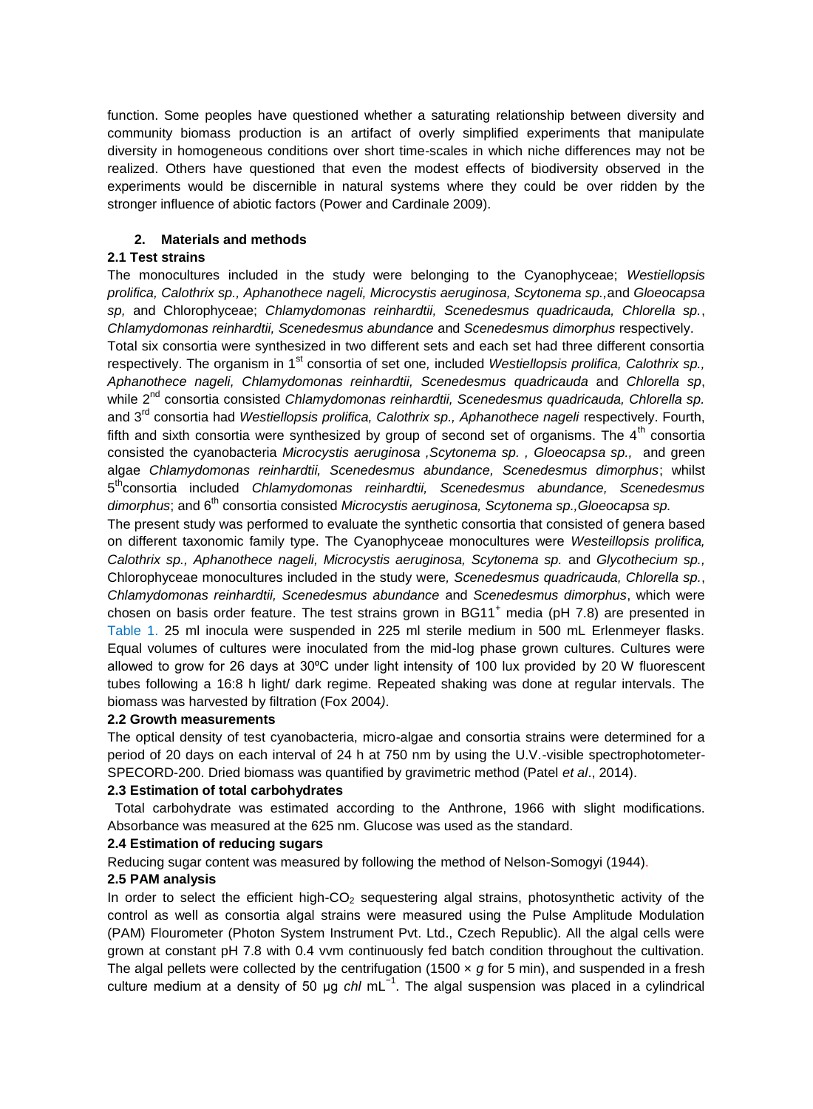function. Some peoples have questioned whether a saturating relationship between diversity and community biomass production is an artifact of overly simplified experiments that manipulate diversity in homogeneous conditions over short time-scales in which niche differences may not be realized. Others have questioned that even the modest effects of biodiversity observed in the experiments would be discernible in natural systems where they could be over ridden by the stronger influence of abiotic factors (Power and Cardinale 2009).

# **2. Materials and methods**

# **2.1 Test strains**

The monocultures included in the study were belonging to the Cyanophyceae; *Westiellopsis prolifica, Calothrix sp., Aphanothece nageli, Microcystis aeruginosa, Scytonema sp.,*and *Gloeocapsa sp,* and Chlorophyceae; *Chlamydomonas reinhardtii, Scenedesmus quadricauda, Chlorella sp.*, *Chlamydomonas reinhardtii, Scenedesmus abundance* and *Scenedesmus dimorphus* respectively. Total six consortia were synthesized in two different sets and each set had three different consortia respectively. The organism in 1<sup>st</sup> consortia of set one, included *Westiellopsis prolifica, Calothrix sp.*, *Aphanothece nageli, Chlamydomonas reinhardtii, Scenedesmus quadricauda* and *Chlorella sp*, while 2<sup>nd</sup> consortia consisted *Chlamydomonas reinhardtii*, Scenedesmus quadricauda, Chlorella sp. and 3rd consortia had *Westiellopsis prolifica, Calothrix sp., Aphanothece nageli* respectively. Fourth, fifth and sixth consortia were synthesized by group of second set of organisms. The  $4<sup>th</sup>$  consortia consisted the cyanobacteria *Microcystis aeruginosa ,Scytonema sp. , Gloeocapsa sp.,* and green algae *Chlamydomonas reinhardtii, Scenedesmus abundance, Scenedesmus dimorphus*; whilst 5<sup>th</sup>consortia included *Chlamydomonas reinhardtii, Scenedesmus abundance, Scenedesmus dimorphus*; and 6th consortia consisted *Microcystis aeruginosa, Scytonema sp.,Gloeocapsa sp.*

The present study was performed to evaluate the synthetic consortia that consisted of genera based on different taxonomic family type. The Cyanophyceae monocultures were *Westeillopsis prolifica, Calothrix sp., Aphanothece nageli, Microcystis aeruginosa, Scytonema sp.* and *Glycothecium sp.,*  Chlorophyceae monocultures included in the study were*, Scenedesmus quadricauda, Chlorella sp.*, *Chlamydomonas reinhardtii, Scenedesmus abundance* and *Scenedesmus dimorphus*, which were chosen on basis order feature. The test strains grown in  $BGM<sup>+</sup>$  media (pH 7.8) are presented in Table 1. 25 ml inocula were suspended in 225 ml sterile medium in 500 mL Erlenmeyer flasks. Equal volumes of cultures were inoculated from the mid-log phase grown cultures. Cultures were allowed to grow for 26 days at 30°C under light intensity of 100 lux provided by 20 W fluorescent tubes following a 16:8 h light/ dark regime. Repeated shaking was done at regular intervals. The biomass was harvested by filtration (Fox 2004*)*.

# **2.2 Growth measurements**

The optical density of test cyanobacteria, micro-algae and consortia strains were determined for a period of 20 days on each interval of 24 h at 750 nm by using the U.V.-visible spectrophotometer-SPECORD-200. Dried biomass was quantified by gravimetric method (Patel *et al*., 2014).

# **2.3 Estimation of total carbohydrates**

Total carbohydrate was estimated according to the Anthrone, 1966 with slight modifications. Absorbance was measured at the 625 nm. Glucose was used as the standard.

# **2.4 Estimation of reducing sugars**

Reducing sugar content was measured by following the method of Nelson-Somogyi (1944).

# **2.5 PAM analysis**

In order to select the efficient high- $CO<sub>2</sub>$  sequestering algal strains, photosynthetic activity of the control as well as consortia algal strains were measured using the Pulse Amplitude Modulation (PAM) Flourometer (Photon System Instrument Pvt. Ltd., Czech Republic). All the algal cells were grown at constant pH 7.8 with 0.4 vvm continuously fed batch condition throughout the cultivation. The algal pellets were collected by the centrifugation (1500  $\times$  *g* for 5 min), and suspended in a fresh culture medium at a density of 50 μg *chl* mL−1 . The algal suspension was placed in a cylindrical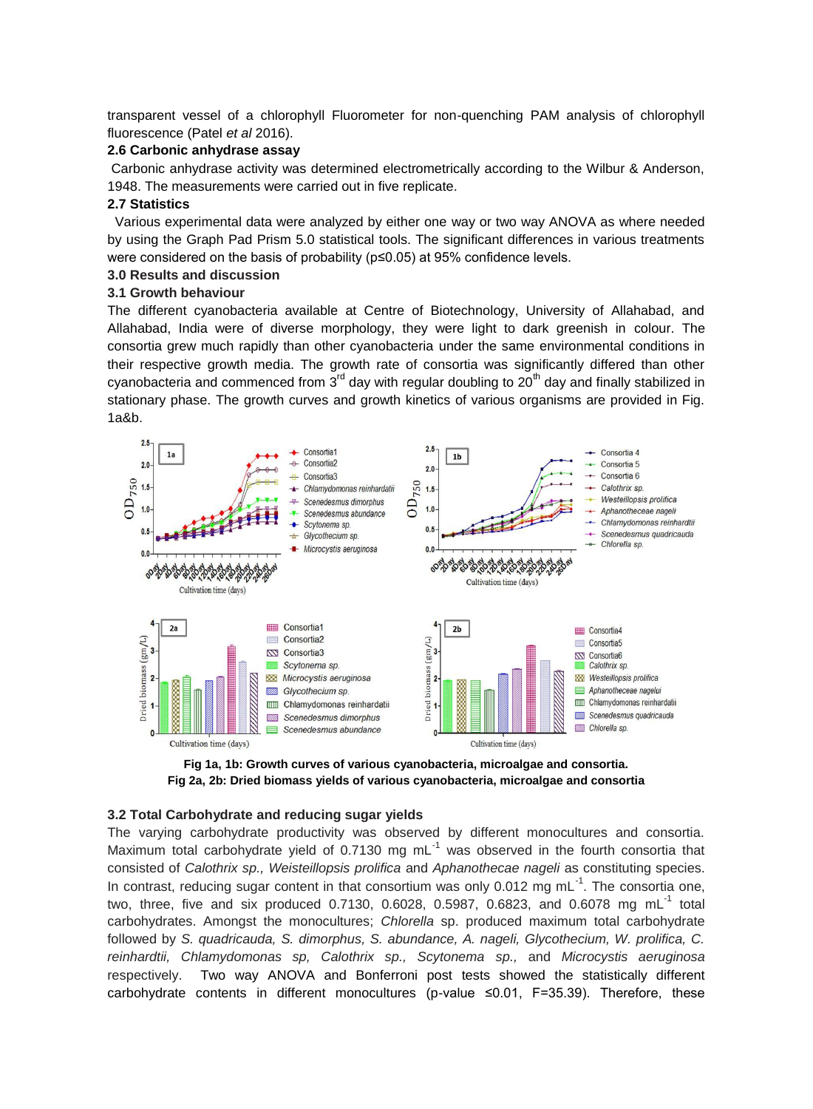transparent vessel of a chlorophyll Fluorometer for non-quenching PAM analysis of chlorophyll fluorescence (Patel *et al* 2016).

### **2.6 Carbonic anhydrase assay**

Carbonic anhydrase activity was determined electrometrically according to the Wilbur & Anderson, 1948. The measurements were carried out in five replicate.

### **2.7 Statistics**

 Various experimental data were analyzed by either one way or two way ANOVA as where needed by using the Graph Pad Prism 5.0 statistical tools. The significant differences in various treatments were considered on the basis of probability (p≤0.05) at 95% confidence levels.

# **3.0 Results and discussion**

# **3.1 Growth behaviour**

The different cyanobacteria available at Centre of Biotechnology, University of Allahabad, and Allahabad, India were of diverse morphology, they were light to dark greenish in colour. The consortia grew much rapidly than other cyanobacteria under the same environmental conditions in their respective growth media. The growth rate of consortia was significantly differed than other cyanobacteria and commenced from  $3<sup>rd</sup>$  day with regular doubling to  $20<sup>th</sup>$  day and finally stabilized in stationary phase. The growth curves and growth kinetics of various organisms are provided in Fig. 1a&b.



**Fig 1a, 1b: Growth curves of various cyanobacteria, microalgae and consortia. Fig 2a, 2b: Dried biomass yields of various cyanobacteria, microalgae and consortia**

### **3.2 Total Carbohydrate and reducing sugar yields**

The varying carbohydrate productivity was observed by different monocultures and consortia. Maximum total carbohydrate yield of 0.7130 mg  $mL^{-1}$  was observed in the fourth consortia that consisted of *Calothrix sp., Weisteillopsis prolifica* and *Aphanothecae nageli* as constituting species. In contrast, reducing sugar content in that consortium was only 0.012 mg  $mL^{-1}$ . The consortia one, two, three, five and six produced 0.7130, 0.6028, 0.5987, 0.6823, and 0.6078 mg mL $^{-1}$  total carbohydrates. Amongst the monocultures; *Chlorella* sp. produced maximum total carbohydrate followed by *S. quadricauda, S. dimorphus, S. abundance, A. nageli, Glycothecium, W. prolifica, C. reinhardtii, Chlamydomonas sp, Calothrix sp., Scytonema sp.,* and *Microcystis aeruginosa*  respectively. Two way ANOVA and Bonferroni post tests showed the statistically different carbohydrate contents in different monocultures (p-value ≤0.01, F=35.39). Therefore, these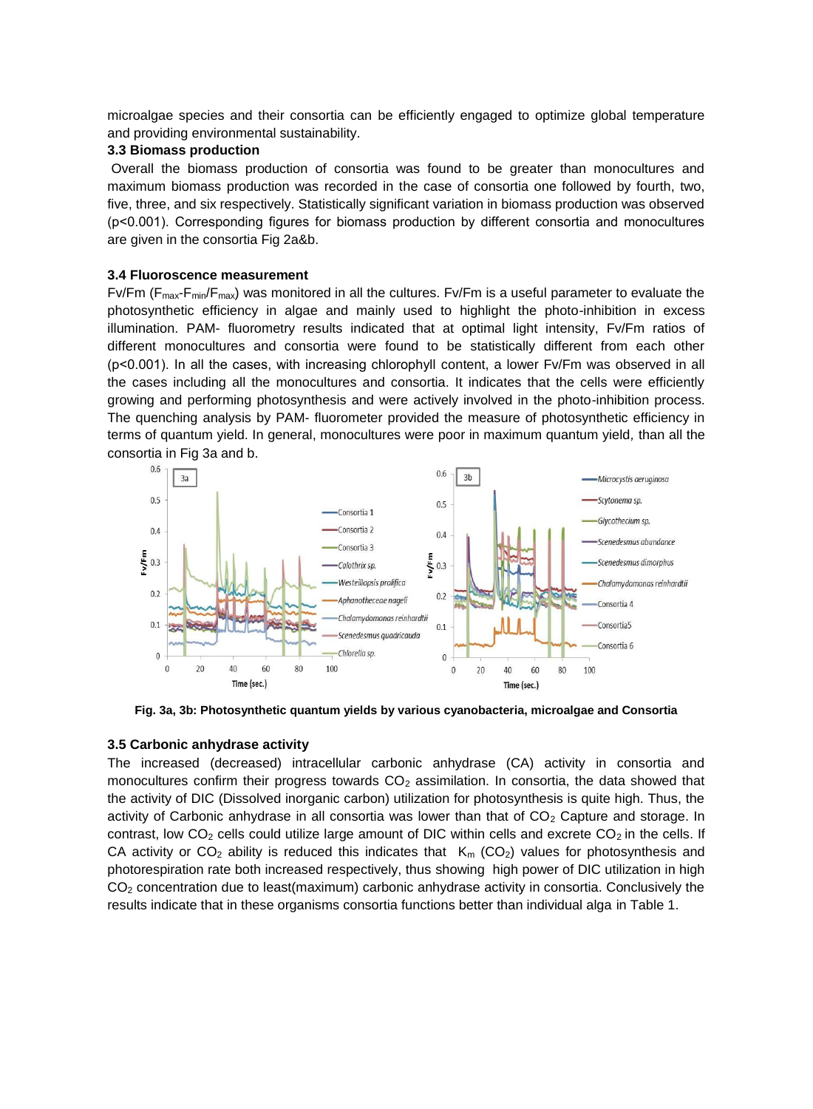microalgae species and their consortia can be efficiently engaged to optimize global temperature and providing environmental sustainability.

### **3.3 Biomass production**

Overall the biomass production of consortia was found to be greater than monocultures and maximum biomass production was recorded in the case of consortia one followed by fourth, two, five, three, and six respectively. Statistically significant variation in biomass production was observed (p˂0.001). Corresponding figures for biomass production by different consortia and monocultures are given in the consortia Fig 2a&b.

### **3.4 Fluoroscence measurement**

 $Fv/Fm$  ( $F_{max}F_{min}/F_{max}$ ) was monitored in all the cultures. Fv/Fm is a useful parameter to evaluate the photosynthetic efficiency in algae and mainly used to highlight the photo-inhibition in excess illumination. PAM- fluorometry results indicated that at optimal light intensity, Fv/Fm ratios of different monocultures and consortia were found to be statistically different from each other (p˂0.001). In all the cases, with increasing chlorophyll content, a lower Fv/Fm was observed in all the cases including all the monocultures and consortia. It indicates that the cells were efficiently growing and performing photosynthesis and were actively involved in the photo-inhibition process. The quenching analysis by PAM- fluorometer provided the measure of photosynthetic efficiency in terms of quantum yield. In general, monocultures were poor in maximum quantum yield*,* than all the consortia in Fig 3a and b.



**Fig. 3a, 3b: Photosynthetic quantum yields by various cyanobacteria, microalgae and Consortia**

### **3.5 Carbonic anhydrase activity**

The increased (decreased) intracellular carbonic anhydrase (CA) activity in consortia and monocultures confirm their progress towards  $CO<sub>2</sub>$  assimilation. In consortia, the data showed that the activity of DIC (Dissolved inorganic carbon) utilization for photosynthesis is quite high. Thus, the activity of Carbonic anhydrase in all consortia was lower than that of  $CO<sub>2</sub>$  Capture and storage. In contrast, low  $CO<sub>2</sub>$  cells could utilize large amount of DIC within cells and excrete  $CO<sub>2</sub>$  in the cells. If CA activity or CO<sub>2</sub> ability is reduced this indicates that  $K_m$  (CO<sub>2</sub>) values for photosynthesis and photorespiration rate both increased respectively, thus showing high power of DIC utilization in high CO<sub>2</sub> concentration due to least(maximum) carbonic anhydrase activity in consortia. Conclusively the results indicate that in these organisms consortia functions better than individual alga in Table 1.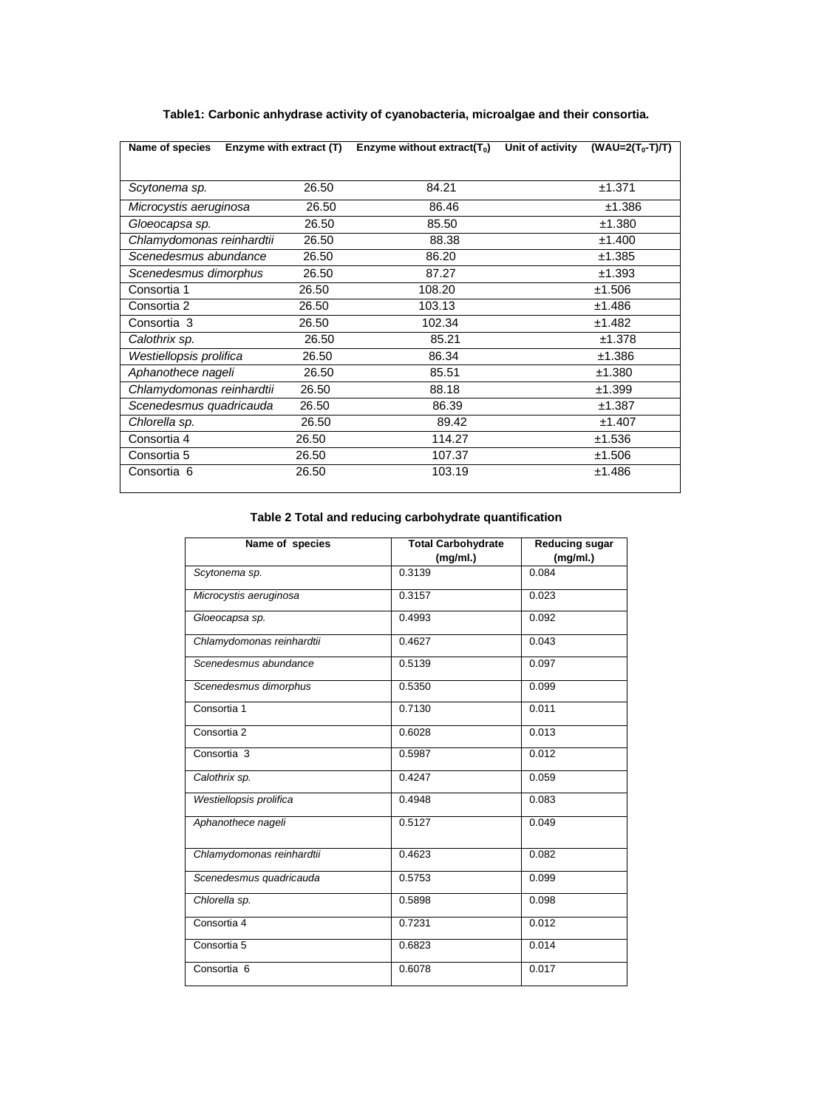| Name of species           |       | Enzyme with extract $(T)$ Enzyme without extract $(T_0)$ | Unit of activity<br>$(WAU=2(T_0-T)/T)$ |
|---------------------------|-------|----------------------------------------------------------|----------------------------------------|
|                           |       |                                                          |                                        |
| Scytonema sp.             | 26.50 | 84.21                                                    | ±1.371                                 |
| Microcystis aeruginosa    | 26.50 | 86.46                                                    | ±1.386                                 |
| Gloeocapsa sp.            | 26.50 | 85.50                                                    | ±1.380                                 |
| Chlamydomonas reinhardtii | 26.50 | 88.38                                                    | ±1.400                                 |
| Scenedesmus abundance     | 26.50 | 86.20                                                    | ±1.385                                 |
| Scenedesmus dimorphus     | 26.50 | 87.27                                                    | ±1.393                                 |
| Consortia 1               | 26.50 | 108.20                                                   | ±1.506                                 |
| Consortia 2               | 26.50 | 103.13                                                   | ±1.486                                 |
| Consortia 3               | 26.50 | 102.34                                                   | ±1.482                                 |
| Calothrix sp.             | 26.50 | 85.21                                                    | ±1.378                                 |
| Westiellopsis prolifica   | 26.50 | 86.34                                                    | ±1.386                                 |
| Aphanothece nageli        | 26.50 | 85.51                                                    | ±1.380                                 |
| Chlamydomonas reinhardtii | 26.50 | 88.18                                                    | ±1.399                                 |
| Scenedesmus quadricauda   | 26.50 | 86.39                                                    | ±1.387                                 |
| Chlorella sp.             | 26.50 | 89.42                                                    | ±1.407                                 |
| Consortia 4               | 26.50 | 114.27                                                   | ±1.536                                 |
| Consortia 5               | 26.50 | 107.37                                                   | ±1.506                                 |
| Consortia 6               | 26.50 | 103.19                                                   | ±1.486                                 |

# **Table1: Carbonic anhydrase activity of cyanobacteria, microalgae and their consortia.**

# **Table 2 Total and reducing carbohydrate quantification**

| Name of species           | <b>Total Carbohydrate</b> | <b>Reducing sugar</b> |
|---------------------------|---------------------------|-----------------------|
|                           | (mg/ml.)                  | (mg/ml.)              |
| Scytonema sp.             | 0.3139                    | 0.084                 |
| Microcystis aeruginosa    | 0.3157                    | 0.023                 |
| Gloeocapsa sp.            | 0.4993                    | 0.092                 |
| Chlamydomonas reinhardtii | 0.4627                    | 0.043                 |
| Scenedesmus abundance     | 0.5139                    | 0.097                 |
| Scenedesmus dimorphus     | 0.5350                    | 0.099                 |
| Consortia 1               | 0.7130                    | 0.011                 |
| Consortia 2               | 0.6028                    | 0.013                 |
| Consortia 3               | 0.5987                    | 0.012                 |
| Calothrix sp.             | 0.4247                    | 0.059                 |
| Westiellopsis prolifica   | 0.4948                    | 0.083                 |
| Aphanothece nageli        | 0.5127                    | 0.049                 |
| Chlamydomonas reinhardtii | 0.4623                    | 0.082                 |
| Scenedesmus quadricauda   | 0.5753                    | 0.099                 |
| Chlorella sp.             | 0.5898                    | 0.098                 |
| Consortia 4               | 0.7231                    | 0.012                 |
| Consortia 5               | 0.6823                    | 0.014                 |
| Consortia <sub>6</sub>    | 0.6078                    | 0.017                 |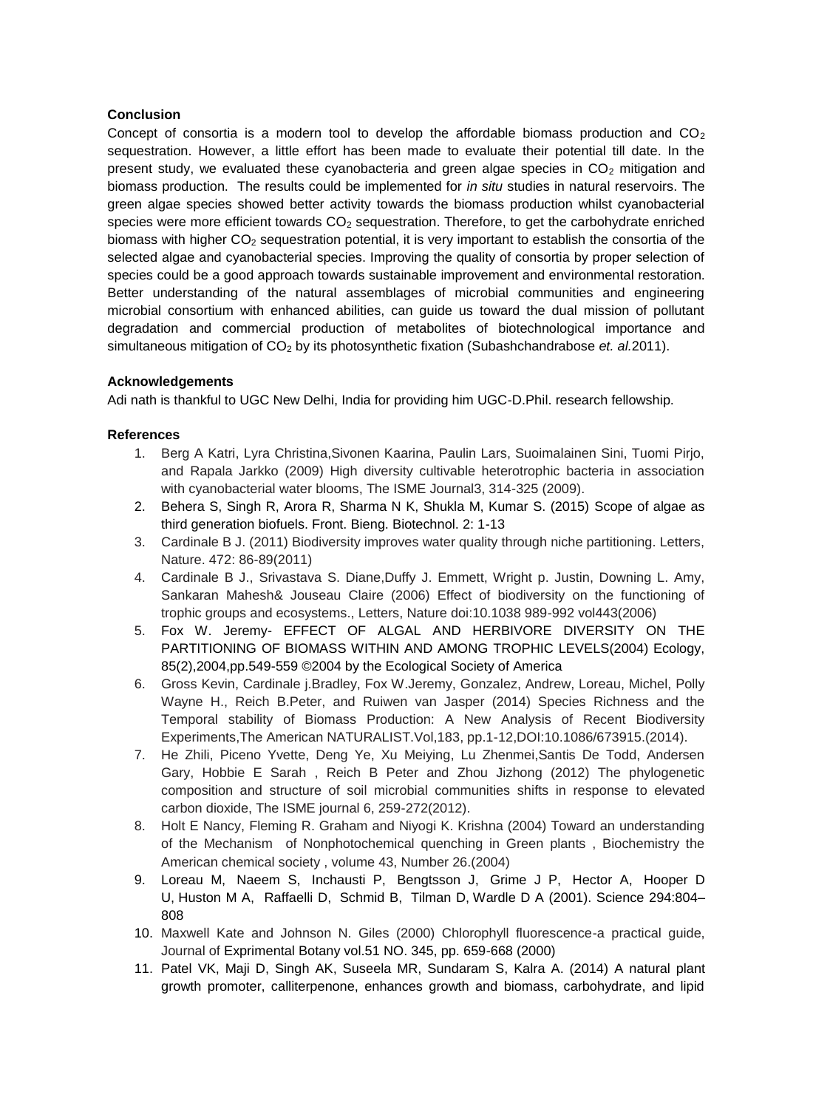# **Conclusion**

Concept of consortia is a modern tool to develop the affordable biomass production and  $CO<sub>2</sub>$ sequestration. However, a little effort has been made to evaluate their potential till date. In the present study, we evaluated these cyanobacteria and green algae species in  $CO<sub>2</sub>$  mitigation and biomass production. The results could be implemented for *in situ* studies in natural reservoirs. The green algae species showed better activity towards the biomass production whilst cyanobacterial species were more efficient towards  $CO<sub>2</sub>$  sequestration. Therefore, to get the carbohydrate enriched biomass with higher  $CO<sub>2</sub>$  sequestration potential, it is very important to establish the consortia of the selected algae and cyanobacterial species. Improving the quality of consortia by proper selection of species could be a good approach towards sustainable improvement and environmental restoration. Better understanding of the natural assemblages of microbial communities and engineering microbial consortium with enhanced abilities, can guide us toward the dual mission of pollutant degradation and commercial production of metabolites of biotechnological importance and simultaneous mitigation of CO<sub>2</sub> by its photosynthetic fixation (Subashchandrabose *et. al.2011*).

# **Acknowledgements**

Adi nath is thankful to UGC New Delhi, India for providing him UGC-D.Phil. research fellowship.

# **References**

- 1. Berg A Katri, Lyra Christina,Sivonen Kaarina, Paulin Lars, Suoimalainen Sini, Tuomi Pirjo, and Rapala Jarkko (2009) High diversity cultivable heterotrophic bacteria in association with cyanobacterial water blooms, The ISME Journal3, 314-325 (2009).
- 2. Behera S, Singh R, Arora R, Sharma N K, Shukla M, Kumar S. (2015) Scope of algae as third generation biofuels. Front. Bieng. Biotechnol. 2: 1-13
- 3. Cardinale B J. (2011) Biodiversity improves water quality through niche partitioning. Letters, Nature. 472: 86-89(2011)
- 4. Cardinale B J., Srivastava S. Diane,Duffy J. Emmett, Wright p. Justin, Downing L. Amy, Sankaran Mahesh& Jouseau Claire (2006) Effect of biodiversity on the functioning of trophic groups and ecosystems., Letters, Nature doi:10.1038 989-992 vol443(2006)
- 5. Fox W. Jeremy- EFFECT OF ALGAL AND HERBIVORE DIVERSITY ON THE PARTITIONING OF BIOMASS WITHIN AND AMONG TROPHIC LEVELS(2004) Ecology, 85(2),2004,pp.549-559 ©2004 by the Ecological Society of America
- 6. Gross Kevin, Cardinale j.Bradley, Fox W.Jeremy, Gonzalez, Andrew, Loreau, Michel, Polly Wayne H., Reich B.Peter, and Ruiwen van Jasper (2014) Species Richness and the Temporal stability of Biomass Production: A New Analysis of Recent Biodiversity Experiments,The American NATURALIST.Vol,183, pp.1-12,DOI:10.1086/673915.(2014).
- 7. He Zhili, Piceno Yvette, Deng Ye, Xu Meiying, Lu Zhenmei,Santis De Todd, Andersen Gary, Hobbie E Sarah , Reich B Peter and Zhou Jizhong (2012) The phylogenetic composition and structure of soil microbial communities shifts in response to elevated carbon dioxide, The ISME journal 6, 259-272(2012).
- 8. Holt E Nancy, Fleming R. Graham and Niyogi K. Krishna (2004) Toward an understanding of the Mechanism of Nonphotochemical quenching in Green plants , Biochemistry the American chemical society , volume 43, Number 26.(2004)
- 9. [Loreau](http://www.sciencemag.org/search?author1=M.+Loreau&sortspec=date&submit=Submit) M, [Naeem](http://www.sciencemag.org/search?author1=S.+Naeem&sortspec=date&submit=Submit) S, [Inchausti](http://www.sciencemag.org/search?author1=P.+Inchausti&sortspec=date&submit=Submit) P, [Bengtsson](http://www.sciencemag.org/search?author1=J.+Bengtsson&sortspec=date&submit=Submit) J, [Grime](http://www.sciencemag.org/search?author1=J.+P.+Grime&sortspec=date&submit=Submit) J P, [Hector](http://www.sciencemag.org/search?author1=A.+Hector&sortspec=date&submit=Submit) A, [Hooper](http://www.sciencemag.org/search?author1=D.+U.+Hooper&sortspec=date&submit=Submit) D U, [Huston](http://www.sciencemag.org/search?author1=M.+A.+Huston&sortspec=date&submit=Submit) M A, [Raffaelli](http://www.sciencemag.org/search?author1=D.+Raffaelli&sortspec=date&submit=Submit) D, [Schmid](http://www.sciencemag.org/search?author1=B.+Schmid&sortspec=date&submit=Submit) B, [Tilman](http://www.sciencemag.org/search?author1=D.+Tilman&sortspec=date&submit=Submit) D, [Wardle](http://www.sciencemag.org/search?author1=D.+A.+Wardle&sortspec=date&submit=Submit) D A (2001). Science 294:804– 808
- 10. Maxwell Kate and Johnson N. Giles (2000) Chlorophyll fluorescence-a practical guide, Journal of Exprimental Botany vol.51 NO. 345, pp. 659-668 (2000)
- 11. Patel VK, Maji D, Singh AK, Suseela MR, Sundaram S, Kalra A. (2014) A natural plant growth promoter, calliterpenone, enhances growth and biomass, carbohydrate, and lipid